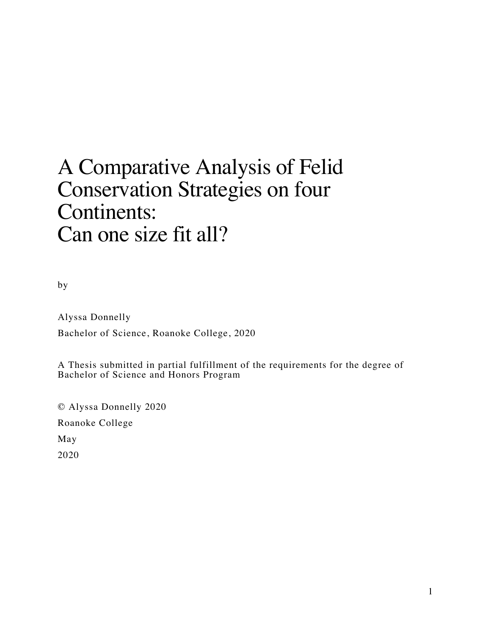# A Comparative Analysis of Felid Conservation Strategies on four Continents: Can one size fit all?

by

Alyssa Donnelly Bachelor of Science, Roanoke College, 2020

A Thesis submitted in partial fulfillment of the requirements for the degree of Bachelor of Science and Honors Program

© Alyssa Donnelly 2020 Roanoke College May 2020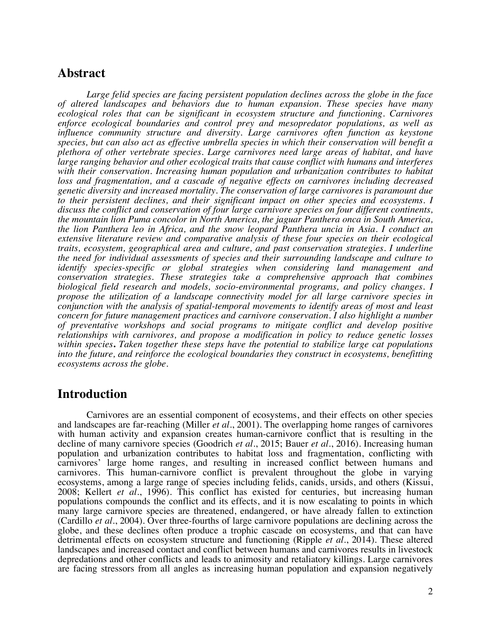## **Abstract**

*Large felid species are facing persistent population declines across the globe in the face of altered landscapes and behaviors due to human expansion. These species have many ecological roles that can be significant in ecosystem structure and functioning. Carnivores enforce ecological boundaries and control prey and mesopredator populations, as well as influence community structure and diversity. Large carnivores often function as keystone species, but can also act as effective umbrella species in which their conservation will benefit a plethora of other vertebrate species. Large carnivores need large areas of habitat, and have large ranging behavior and other ecological traits that cause conflict with humans and interferes with their conservation. Increasing human population and urbanization contributes to habitat*  loss and fragmentation, and a cascade of negative effects on carnivores including decreased *genetic diversity and increased mortality. The conservation of large carnivores is paramount due to their persistent declines, and their significant impact on other species and ecosystems. I discuss the conflict and conservation of four large carnivore species on four different continents, the mountain lion Puma concolor in North America, the jaguar Panthera onca in South America, the lion Panthera leo in Africa, and the snow leopard Panthera uncia in Asia. I conduct an extensive literature review and comparative analysis of these four species on their ecological traits, ecosystem, geographical area and culture, and past conservation strategies. I underline the need for individual assessments of species and their surrounding landscape and culture to identify species-specific or global strategies when considering land management and conservation strategies. These strategies take a comprehensive approach that combines biological field research and models, socio-environmental programs, and policy changes. I propose the utilization of a landscape connectivity model for all large carnivore species in conjunction with the analysis of spatial-temporal movements to identify areas of most and least concern for future management practices and carnivore conservation. I also highlight a number of preventative workshops and social programs to mitigate conflict and develop positive relationships with carnivores, and propose a modification in policy to reduce genetic losses within species***.** *Taken together these steps have the potential to stabilize large cat populations into the future, and reinforce the ecological boundaries they construct in ecosystems, benefitting ecosystems across the globe.*

# **Introduction**

Carnivores are an essential component of ecosystems, and their effects on other species and landscapes are far-reaching (Miller *et al.*, 2001). The overlapping home ranges of carnivores with human activity and expansion creates human-carnivore conflict that is resulting in the decline of many carnivore species (Goodrich *et al.*, 2015; Bauer *et al.*, 2016). Increasing human population and urbanization contributes to habitat loss and fragmentation, conflicting with carnivores' large home ranges, and resulting in increased conflict between humans and carnivores. This human-carnivore conflict is prevalent throughout the globe in varying ecosystems, among a large range of species including felids, canids, ursids, and others (Kissui, 2008; Kellert *et al.*, 1996). This conflict has existed for centuries, but increasing human populations compounds the conflict and its effects, and it is now escalating to points in which many large carnivore species are threatened, endangered, or have already fallen to extinction (Cardillo *et al.*, 2004). Over three-fourths of large carnivore populations are declining across the globe, and these declines often produce a trophic cascade on ecosystems, and that can have detrimental effects on ecosystem structure and functioning (Ripple *et al.*, 2014). These altered landscapes and increased contact and conflict between humans and carnivores results in livestock depredations and other conflicts and leads to animosity and retaliatory killings. Large carnivores are facing stressors from all angles as increasing human population and expansion negatively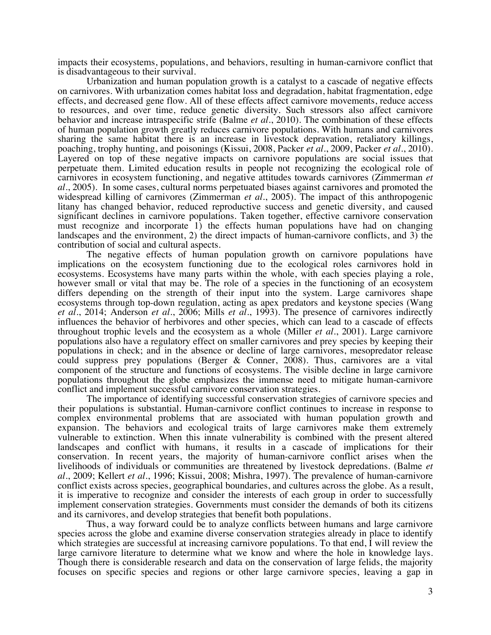impacts their ecosystems, populations, and behaviors, resulting in human-carnivore conflict that is disadvantageous to their survival.

Urbanization and human population growth is a catalyst to a cascade of negative effects on carnivores. With urbanization comes habitat loss and degradation, habitat fragmentation, edge effects, and decreased gene flow. All of these effects affect carnivore movements, reduce access to resources, and over time, reduce genetic diversity. Such stressors also affect carnivore behavior and increase intraspecific strife (Balme *et al.*, 2010). The combination of these effects of human population growth greatly reduces carnivore populations. With humans and carnivores sharing the same habitat there is an increase in livestock depravation, retaliatory killings, poaching, trophy hunting, and poisonings (Kissui, 2008, Packer *et al.*, 2009, Packer *et al.*, 2010). Layered on top of these negative impacts on carnivore populations are social issues that perpetuate them. Limited education results in people not recognizing the ecological role of carnivores in ecosystem functioning, and negative attitudes towards carnivores (Zimmerman *et al.*, 2005). In some cases, cultural norms perpetuated biases against carnivores and promoted the widespread killing of carnivores (Zimmerman *et al.*, 2005). The impact of this anthropogenic litany has changed behavior, reduced reproductive success and genetic diversity, and caused significant declines in carnivore populations. Taken together, effective carnivore conservation must recognize and incorporate 1) the effects human populations have had on changing landscapes and the environment, 2) the direct impacts of human-carnivore conflicts, and 3) the contribution of social and cultural aspects.

The negative effects of human population growth on carnivore populations have implications on the ecosystem functioning due to the ecological roles carnivores hold in ecosystems. Ecosystems have many parts within the whole, with each species playing a role, however small or vital that may be. The role of a species in the functioning of an ecosystem differs depending on the strength of their input into the system. Large carnivores shape ecosystems through top-down regulation, acting as apex predators and keystone species (Wang *et al.*, 2014; Anderson *et al.*, 2006; Mills *et al.*, 1993). The presence of carnivores indirectly influences the behavior of herbivores and other species, which can lead to a cascade of effects throughout trophic levels and the ecosystem as a whole (Miller *et al.*, 2001). Large carnivore populations also have a regulatory effect on smaller carnivores and prey species by keeping their populations in check; and in the absence or decline of large carnivores, mesopredator release could suppress prey populations (Berger & Conner, 2008). Thus, carnivores are a vital component of the structure and functions of ecosystems. The visible decline in large carnivore populations throughout the globe emphasizes the immense need to mitigate human-carnivore conflict and implement successful carnivore conservation strategies.

The importance of identifying successful conservation strategies of carnivore species and their populations is substantial. Human-carnivore conflict continues to increase in response to complex environmental problems that are associated with human population growth and expansion. The behaviors and ecological traits of large carnivores make them extremely vulnerable to extinction. When this innate vulnerability is combined with the present altered landscapes and conflict with humans, it results in a cascade of implications for their conservation. In recent years, the majority of human-carnivore conflict arises when the livelihoods of individuals or communities are threatened by livestock depredations. (Balme *et al.*, 2009; Kellert *et al.*, 1996; Kissui, 2008; Mishra, 1997). The prevalence of human-carnivore conflict exists across species, geographical boundaries, and cultures across the globe. As a result, it is imperative to recognize and consider the interests of each group in order to successfully implement conservation strategies. Governments must consider the demands of both its citizens and its carnivores, and develop strategies that benefit both populations.

Thus, a way forward could be to analyze conflicts between humans and large carnivore species across the globe and examine diverse conservation strategies already in place to identify which strategies are successful at increasing carnivore populations. To that end, I will review the large carnivore literature to determine what we know and where the hole in knowledge lays. Though there is considerable research and data on the conservation of large felids, the majority focuses on specific species and regions or other large carnivore species, leaving a gap in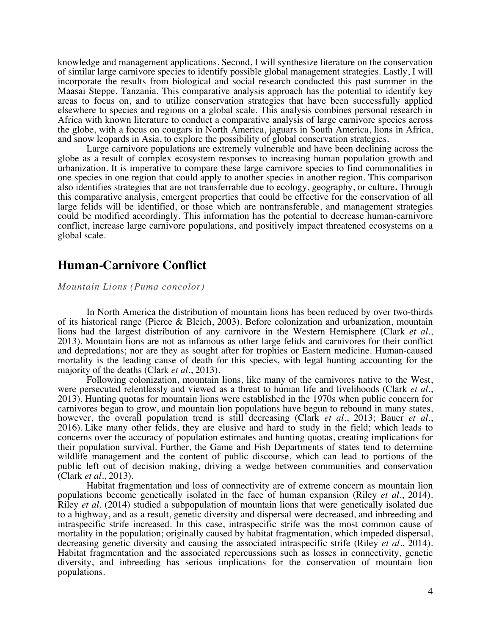knowledge and management applications. Second, I will synthesize literature on the conservation of similar large carnivore species to identify possible global management strategies. Lastly, I will incorporate the results from biological and social research conducted this past summer in the Maasai Steppe, Tanzania. This comparative analysis approach has the potential to identify key areas to focus on, and to utilize conservation strategies that have been successfully applied elsewhere to species and regions on a global scale. This analysis combines personal research in Africa with known literature to conduct a comparative analysis of large carnivore species across the globe, with a focus on cougars in North America, jaguars in South America, lions in Africa, and snow leopards in Asia, to explore the possibility of global conservation strategies.

Large carnivore populations are extremely vulnerable and have been declining across the globe as a result of complex ecosystem responses to increasing human population growth and urbanization. It is imperative to compare these large carnivore species to find commonalities in one species in one region that could apply to another species in another region. This comparison also identifies strategies that are not transferrable due to ecology, geography, or culture**.** Through this comparative analysis, emergent properties that could be effective for the conservation of all large felids will be identified, or those which are nontransferable, and management strategies could be modified accordingly. This information has the potential to decrease human-carnivore conflict, increase large carnivore populations, and positively impact threatened ecosystems on a global scale.

# **Human-Carnivore Conflict**

*Mountain Lions (Puma concolor)*

In North America the distribution of mountain lions has been reduced by over two-thirds of its historical range (Pierce & Bleich, 2003). Before colonization and urbanization, mountain lions had the largest distribution of any carnivore in the Western Hemisphere (Clark *et al.*, 2013). Mountain lions are not as infamous as other large felids and carnivores for their conflict and depredations; nor are they as sought after for trophies or Eastern medicine. Human-caused mortality is the leading cause of death for this species, with legal hunting accounting for the majority of the deaths (Clark *et al.*, 2013).

Following colonization, mountain lions, like many of the carnivores native to the West, were persecuted relentlessly and viewed as a threat to human life and livelihoods (Clark *et al.*, 2013). Hunting quotas for mountain lions were established in the 1970s when public concern for carnivores began to grow, and mountain lion populations have begun to rebound in many states, however, the overall population trend is still decreasing (Clark *et al.*, 2013; Bauer *et al*., 2016). Like many other felids, they are elusive and hard to study in the field; which leads to concerns over the accuracy of population estimates and hunting quotas, creating implications for their population survival. Further, the Game and Fish Departments of states tend to determine wildlife management and the content of public discourse, which can lead to portions of the public left out of decision making, driving a wedge between communities and conservation (Clark *et al.*, 2013).

Habitat fragmentation and loss of connectivity are of extreme concern as mountain lion populations become genetically isolated in the face of human expansion (Riley *et al.*, 2014). Riley *et al.* (2014) studied a subpopulation of mountain lions that were genetically isolated due to a highway, and as a result, genetic diversity and dispersal were decreased, and inbreeding and intraspecific strife increased. In this case, intraspecific strife was the most common cause of mortality in the population; originally caused by habitat fragmentation, which impeded dispersal, decreasing genetic diversity and causing the associated intraspecific strife (Riley *et al.*, 2014). Habitat fragmentation and the associated repercussions such as losses in connectivity, genetic diversity, and inbreeding has serious implications for the conservation of mountain lion populations.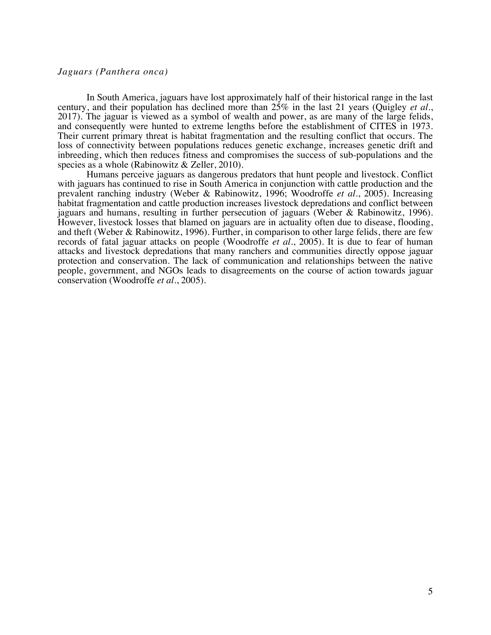### *Jaguars (Panthera onca)*

In South America, jaguars have lost approximately half of their historical range in the last century, and their population has declined more than 25% in the last 21 years (Quigley *et al.*, 2017). The jaguar is viewed as a symbol of wealth and power, as are many of the large felids, and consequently were hunted to extreme lengths before the establishment of CITES in 1973. Their current primary threat is habitat fragmentation and the resulting conflict that occurs. The loss of connectivity between populations reduces genetic exchange, increases genetic drift and inbreeding, which then reduces fitness and compromises the success of sub-populations and the species as a whole (Rabinowitz & Zeller, 2010).

Humans perceive jaguars as dangerous predators that hunt people and livestock. Conflict with jaguars has continued to rise in South America in conjunction with cattle production and the prevalent ranching industry (Weber & Rabinowitz, 1996; Woodroffe *et al.*, 2005). Increasing habitat fragmentation and cattle production increases livestock depredations and conflict between jaguars and humans, resulting in further persecution of jaguars (Weber & Rabinowitz, 1996). However, livestock losses that blamed on jaguars are in actuality often due to disease, flooding, and theft (Weber & Rabinowitz, 1996). Further, in comparison to other large felids, there are few records of fatal jaguar attacks on people (Woodroffe *et al.*, 2005). It is due to fear of human attacks and livestock depredations that many ranchers and communities directly oppose jaguar protection and conservation. The lack of communication and relationships between the native people, government, and NGOs leads to disagreements on the course of action towards jaguar conservation (Woodroffe *et al.*, 2005).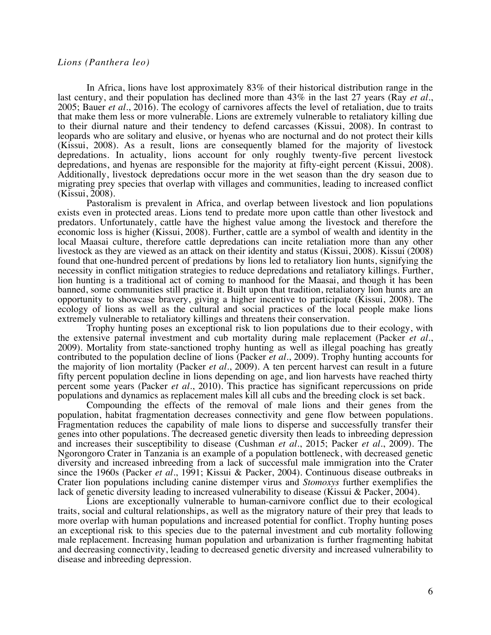#### *Lions (Panthera leo)*

In Africa, lions have lost approximately 83% of their historical distribution range in the last century, and their population has declined more than 43% in the last 27 years (Ray *et al.*, 2005; Bauer *et al.*, 2016). The ecology of carnivores affects the level of retaliation, due to traits that make them less or more vulnerable. Lions are extremely vulnerable to retaliatory killing due to their diurnal nature and their tendency to defend carcasses (Kissui, 2008). In contrast to leopards who are solitary and elusive, or hyenas who are nocturnal and do not protect their kills (Kissui, 2008). As a result, lions are consequently blamed for the majority of livestock depredations. In actuality, lions account for only roughly twenty-five percent livestock depredations, and hyenas are responsible for the majority at fifty-eight percent (Kissui, 2008). Additionally, livestock depredations occur more in the wet season than the dry season due to migrating prey species that overlap with villages and communities, leading to increased conflict (Kissui, 2008).

Pastoralism is prevalent in Africa, and overlap between livestock and lion populations exists even in protected areas. Lions tend to predate more upon cattle than other livestock and predators. Unfortunately, cattle have the highest value among the livestock and therefore the economic loss is higher (Kissui, 2008). Further, cattle are a symbol of wealth and identity in the local Maasai culture, therefore cattle depredations can incite retaliation more than any other livestock as they are viewed as an attack on their identity and status (Kissui, 2008). Kissui (2008) found that one-hundred percent of predations by lions led to retaliatory lion hunts, signifying the necessity in conflict mitigation strategies to reduce depredations and retaliatory killings. Further, lion hunting is a traditional act of coming to manhood for the Maasai, and though it has been banned, some communities still practice it. Built upon that tradition, retaliatory lion hunts are an opportunity to showcase bravery, giving a higher incentive to participate (Kissui, 2008). The ecology of lions as well as the cultural and social practices of the local people make lions extremely vulnerable to retaliatory killings and threatens their conservation.

Trophy hunting poses an exceptional risk to lion populations due to their ecology, with the extensive paternal investment and cub mortality during male replacement (Packer *et al.*, 2009). Mortality from state-sanctioned trophy hunting as well as illegal poaching has greatly contributed to the population decline of lions (Packer *et al.*, 2009). Trophy hunting accounts for the majority of lion mortality (Packer *et al.*, 2009). A ten percent harvest can result in a future fifty percent population decline in lions depending on age, and lion harvests have reached thirty percent some years (Packer *et al.*, 2010). This practice has significant repercussions on pride populations and dynamics as replacement males kill all cubs and the breeding clock is set back.

Compounding the effects of the removal of male lions and their genes from the population, habitat fragmentation decreases connectivity and gene flow between populations. Fragmentation reduces the capability of male lions to disperse and successfully transfer their genes into other populations. The decreased genetic diversity then leads to inbreeding depression and increases their susceptibility to disease (Cushman *et al.*, 2015; Packer *et al.*, 2009). The Ngorongoro Crater in Tanzania is an example of a population bottleneck, with decreased genetic diversity and increased inbreeding from a lack of successful male immigration into the Crater since the 1960s (Packer *et al.*, 1991; Kissui & Packer, 2004). Continuous disease outbreaks in Crater lion populations including canine distemper virus and *Stomoxys* further exemplifies the lack of genetic diversity leading to increased vulnerability to disease (Kissui & Packer, 2004).

Lions are exceptionally vulnerable to human-carnivore conflict due to their ecological traits, social and cultural relationships, as well as the migratory nature of their prey that leads to more overlap with human populations and increased potential for conflict. Trophy hunting poses an exceptional risk to this species due to the paternal investment and cub mortality following male replacement. Increasing human population and urbanization is further fragmenting habitat and decreasing connectivity, leading to decreased genetic diversity and increased vulnerability to disease and inbreeding depression.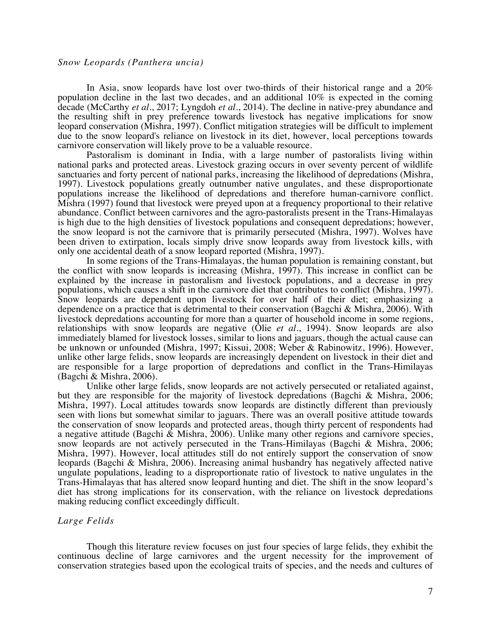### *Snow Leopards (Panthera uncia)*

In Asia, snow leopards have lost over two-thirds of their historical range and a 20% population decline in the last two decades, and an additional 10% is expected in the coming decade (McCarthy *et al.*, 2017; Lyngdoh *et al.*, 2014). The decline in native-prey abundance and the resulting shift in prey preference towards livestock has negative implications for snow leopard conservation (Mishra, 1997). Conflict mitigation strategies will be difficult to implement due to the snow leopard's reliance on livestock in its diet, however, local perceptions towards carnivore conservation will likely prove to be a valuable resource.

Pastoralism is dominant in India, with a large number of pastoralists living within national parks and protected areas. Livestock grazing occurs in over seventy percent of wildlife sanctuaries and forty percent of national parks, increasing the likelihood of depredations (Mishra, 1997). Livestock populations greatly outnumber native ungulates, and these disproportionate populations increase the likelihood of depredations and therefore human-carnivore conflict. Mishra (1997) found that livestock were preyed upon at a frequency proportional to their relative abundance. Conflict between carnivores and the agro-pastoralists present in the Trans-Himalayas is high due to the high densities of livestock populations and consequent depredations; however, the snow leopard is not the carnivore that is primarily persecuted (Mishra, 1997). Wolves have been driven to extirpation, locals simply drive snow leopards away from livestock kills, with only one accidental death of a snow leopard reported (Mishra, 1997).

In some regions of the Trans-Himalayas, the human population is remaining constant, but the conflict with snow leopards is increasing (Mishra, 1997). This increase in conflict can be explained by the increase in pastoralism and livestock populations, and a decrease in prey populations, which causes a shift in the carnivore diet that contributes to conflict (Mishra, 1997). Snow leopards are dependent upon livestock for over half of their diet; emphasizing a dependence on a practice that is detrimental to their conservation (Bagchi & Mishra, 2006). With livestock depredations accounting for more than a quarter of household income in some regions, relationships with snow leopards are negative (Olie *et al.*, 1994). Snow leopards are also immediately blamed for livestock losses, similar to lions and jaguars, though the actual cause can be unknown or unfounded (Mishra, 1997; Kissui, 2008; Weber & Rabinowitz, 1996). However, unlike other large felids, snow leopards are increasingly dependent on livestock in their diet and are responsible for a large proportion of depredations and conflict in the Trans-Himilayas (Bagchi & Mishra, 2006).

Unlike other large felids, snow leopards are not actively persecuted or retaliated against, but they are responsible for the majority of livestock depredations (Bagchi & Mishra, 2006; Mishra, 1997). Local attitudes towards snow leopards are distinctly different than previously seen with lions but somewhat similar to jaguars. There was an overall positive attitude towards the conservation of snow leopards and protected areas, though thirty percent of respondents had a negative attitude (Bagchi & Mishra, 2006). Unlike many other regions and carnivore species, snow leopards are not actively persecuted in the Trans-Himilayas (Bagchi & Mishra, 2006; Mishra, 1997). However, local attitudes still do not entirely support the conservation of snow leopards (Bagchi & Mishra, 2006). Increasing animal husbandry has negatively affected native ungulate populations, leading to a disproportionate ratio of livestock to native ungulates in the Trans-Himalayas that has altered snow leopard hunting and diet. The shift in the snow leopard's diet has strong implications for its conservation, with the reliance on livestock depredations making reducing conflict exceedingly difficult.

#### *Large Felids*

Though this literature review focuses on just four species of large felids, they exhibit the continuous decline of large carnivores and the urgent necessity for the improvement of conservation strategies based upon the ecological traits of species, and the needs and cultures of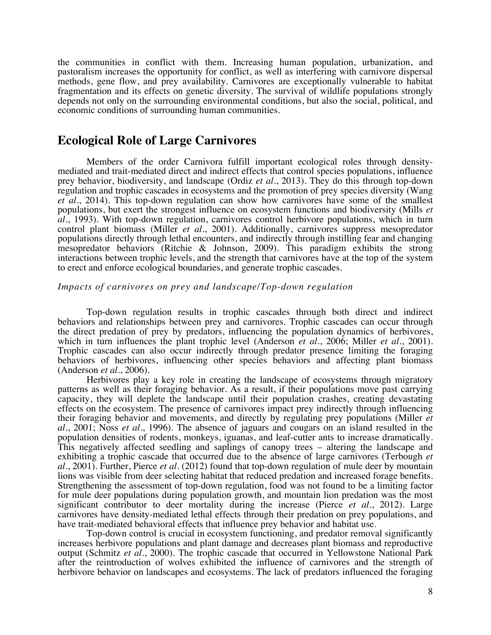the communities in conflict with them. Increasing human population, urbanization, and pastoralism increases the opportunity for conflict, as well as interfering with carnivore dispersal methods, gene flow, and prey availability. Carnivores are exceptionally vulnerable to habitat fragmentation and its effects on genetic diversity. The survival of wildlife populations strongly depends not only on the surrounding environmental conditions, but also the social, political, and economic conditions of surrounding human communities.

## **Ecological Role of Large Carnivores**

Members of the order Carnivora fulfill important ecological roles through density- mediated and trait-mediated direct and indirect effects that control species populations, influence prey behavior, biodiversity, and landscape (Ordiz *et al.*, 2013). They do this through top-down regulation and trophic cascades in ecosystems and the promotion of prey species diversity (Wang *et al.*, 2014). This top-down regulation can show how carnivores have some of the smallest populations, but exert the strongest influence on ecosystem functions and biodiversity (Mills *et al.*, 1993). With top-down regulation, carnivores control herbivore populations, which in turn control plant biomass (Miller *et al.*, 2001). Additionally, carnivores suppress mesopredator populations directly through lethal encounters, and indirectly through instilling fear and changing mesopredator behaviors (Ritchie & Johnson, 2009). This paradigm exhibits the strong interactions between trophic levels, and the strength that carnivores have at the top of the system to erect and enforce ecological boundaries, and generate trophic cascades.

## *Impacts of carnivores on prey and landscape/Top-down regulation*

Top-down regulation results in trophic cascades through both direct and indirect behaviors and relationships between prey and carnivores. Trophic cascades can occur through the direct predation of prey by predators, influencing the population dynamics of herbivores, which in turn influences the plant trophic level (Anderson *et al.*, 2006; Miller *et al.*, 2001). Trophic cascades can also occur indirectly through predator presence limiting the foraging behaviors of herbivores, influencing other species behaviors and affecting plant biomass (Anderson *et al.*, 2006).

Herbivores play a key role in creating the landscape of ecosystems through migratory patterns as well as their foraging behavior. As a result, if their populations move past carrying capacity, they will deplete the landscape until their population crashes, creating devastating effects on the ecosystem. The presence of carnivores impact prey indirectly through influencing their foraging behavior and movements, and directly by regulating prey populations (Miller *et al.*, 2001; Noss *et al.*, 1996). The absence of jaguars and cougars on an island resulted in the population densities of rodents, monkeys, iguanas, and leaf-cutter ants to increase dramatically. This negatively affected seedling and saplings of canopy trees – altering the landscape and exhibiting a trophic cascade that occurred due to the absence of large carnivores (Terbough *et al.*, 2001). Further, Pierce *et al.* (2012) found that top-down regulation of mule deer by mountain lions was visible from deer selecting habitat that reduced predation and increased forage benefits. Strengthening the assessment of top-down regulation, food was not found to be a limiting factor for mule deer populations during population growth, and mountain lion predation was the most significant contributor to deer mortality during the increase (Pierce *et al.*, 2012). Large carnivores have density-mediated lethal effects through their predation on prey populations, and have trait-mediated behavioral effects that influence prey behavior and habitat use.

Top-down control is crucial in ecosystem functioning, and predator removal significantly increases herbivore populations and plant damage and decreases plant biomass and reproductive output (Schmitz *et al.*, 2000). The trophic cascade that occurred in Yellowstone National Park after the reintroduction of wolves exhibited the influence of carnivores and the strength of herbivore behavior on landscapes and ecosystems. The lack of predators influenced the foraging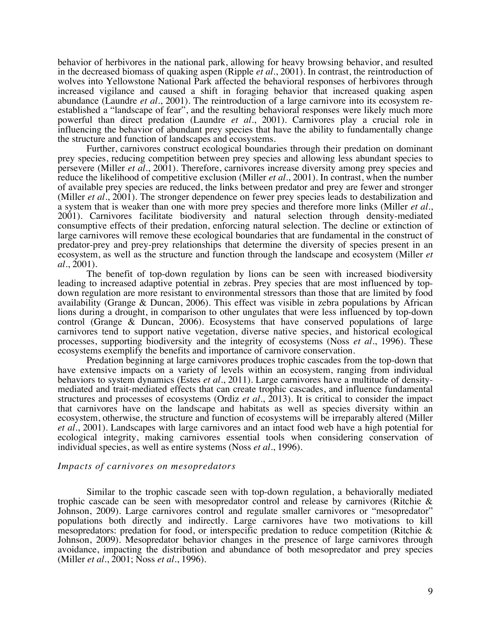behavior of herbivores in the national park, allowing for heavy browsing behavior, and resulted in the decreased biomass of quaking aspen (Ripple *et al.*, 2001). In contrast, the reintroduction of wolves into Yellowstone National Park affected the behavioral responses of herbivores through increased vigilance and caused a shift in foraging behavior that increased quaking aspen abundance (Laundre *et al.*, 2001). The reintroduction of a large carnivore into its ecosystem reestablished a "landscape of fear", and the resulting behavioral responses were likely much more powerful than direct predation (Laundre *et al.*, 2001). Carnivores play a crucial role in influencing the behavior of abundant prey species that have the ability to fundamentally change the structure and function of landscapes and ecosystems.

Further, carnivores construct ecological boundaries through their predation on dominant prey species, reducing competition between prey species and allowing less abundant species to persevere (Miller *et al.*, 2001). Therefore, carnivores increase diversity among prey species and reduce the likelihood of competitive exclusion (Miller *et al.*, 2001). In contrast, when the number of available prey species are reduced, the links between predator and prey are fewer and stronger (Miller *et al.*, 2001). The stronger dependence on fewer prey species leads to destabilization and a system that is weaker than one with more prey species and therefore more links (Miller *et al.*, 2001). Carnivores facilitate biodiversity and natural selection through density-mediated consumptive effects of their predation, enforcing natural selection. The decline or extinction of large carnivores will remove these ecological boundaries that are fundamental in the construct of predator-prey and prey-prey relationships that determine the diversity of species present in an ecosystem, as well as the structure and function through the landscape and ecosystem (Miller *et al.*, 2001).

The benefit of top-down regulation by lions can be seen with increased biodiversity leading to increased adaptive potential in zebras. Prey species that are most influenced by topdown regulation are more resistant to environmental stressors than those that are limited by food availability (Grange & Duncan, 2006). This effect was visible in zebra populations by African lions during a drought, in comparison to other ungulates that were less influenced by top-down control (Grange  $\&$  Duncan, 2006). Ecosystems that have conserved populations of large carnivores tend to support native vegetation, diverse native species, and historical ecological processes, supporting biodiversity and the integrity of ecosystems (Noss *et al.*, 1996). These ecosystems exemplify the benefits and importance of carnivore conservation.

Predation beginning at large carnivores produces trophic cascades from the top-down that have extensive impacts on a variety of levels within an ecosystem, ranging from individual behaviors to system dynamics (Estes *et al.*, 2011). Large carnivores have a multitude of densitymediated and trait-mediated effects that can create trophic cascades, and influence fundamental structures and processes of ecosystems (Ordiz *et al.*, 2013). It is critical to consider the impact that carnivores have on the landscape and habitats as well as species diversity within an ecosystem, otherwise, the structure and function of ecosystems will be irreparably altered (Miller *et al.*, 2001). Landscapes with large carnivores and an intact food web have a high potential for ecological integrity, making carnivores essential tools when considering conservation of individual species, as well as entire systems (Noss *et al.*, 1996).

#### *Impacts of carnivores on mesopredators*

Similar to the trophic cascade seen with top-down regulation, a behaviorally mediated trophic cascade can be seen with mesopredator control and release by carnivores (Ritchie & Johnson, 2009). Large carnivores control and regulate smaller carnivores or "mesopredator" populations both directly and indirectly. Large carnivores have two motivations to kill mesopredators: predation for food, or interspecific predation to reduce competition (Ritchie & Johnson, 2009). Mesopredator behavior changes in the presence of large carnivores through avoidance, impacting the distribution and abundance of both mesopredator and prey species (Miller *et al.*, 2001; Noss *et al.*, 1996).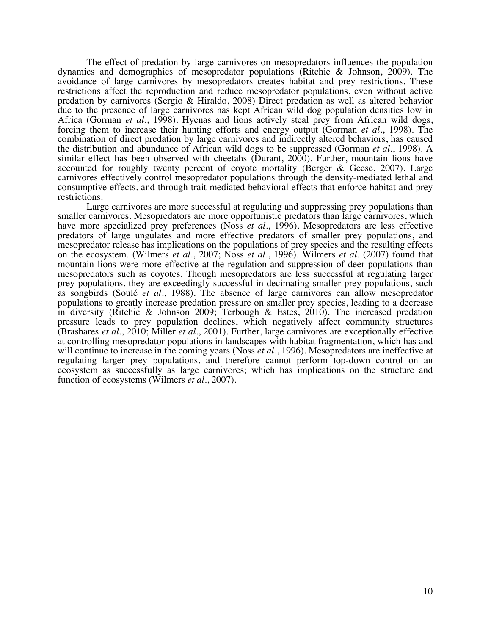The effect of predation by large carnivores on mesopredators influences the population dynamics and demographics of mesopredator populations (Ritchie & Johnson, 2009). The avoidance of large carnivores by mesopredators creates habitat and prey restrictions. These restrictions affect the reproduction and reduce mesopredator populations, even without active predation by carnivores (Sergio & Hiraldo, 2008) Direct predation as well as altered behavior due to the presence of large carnivores has kept African wild dog population densities low in Africa (Gorman *et al.*, 1998). Hyenas and lions actively steal prey from African wild dogs, forcing them to increase their hunting efforts and energy output (Gorman *et al.*, 1998). The combination of direct predation by large carnivores and indirectly altered behaviors, has caused the distribution and abundance of African wild dogs to be suppressed (Gorman *et al.*, 1998). A similar effect has been observed with cheetahs (Durant, 2000). Further, mountain lions have accounted for roughly twenty percent of coyote mortality (Berger & Geese, 2007). Large carnivores effectively control mesopredator populations through the density-mediated lethal and consumptive effects, and through trait-mediated behavioral effects that enforce habitat and prey restrictions.

Large carnivores are more successful at regulating and suppressing prey populations than smaller carnivores. Mesopredators are more opportunistic predators than large carnivores, which have more specialized prey preferences (Noss *et al.*, 1996). Mesopredators are less effective predators of large ungulates and more effective predators of smaller prey populations, and mesopredator release has implications on the populations of prey species and the resulting effects on the ecosystem. (Wilmers *et al.*, 2007; Noss *et al.*, 1996). Wilmers *et al.* (2007) found that mountain lions were more effective at the regulation and suppression of deer populations than mesopredators such as coyotes. Though mesopredators are less successful at regulating larger prey populations, they are exceedingly successful in decimating smaller prey populations, such as songbirds (Soulé *et al.*, 1988). The absence of large carnivores can allow mesopredator populations to greatly increase predation pressure on smaller prey species, leading to a decrease in diversity (Ritchie & Johnson 2009; Terbough & Estes, 2010). The increased predation pressure leads to prey population declines, which negatively affect community structures (Brashares *et al.*, 2010; Miller *et al.*, 2001). Further, large carnivores are exceptionally effective at controlling mesopredator populations in landscapes with habitat fragmentation, which has and will continue to increase in the coming years (Noss *et al.*, 1996). Mesopredators are ineffective at regulating larger prey populations, and therefore cannot perform top-down control on an ecosystem as successfully as large carnivores; which has implications on the structure and function of ecosystems (Wilmers *et al.*, 2007).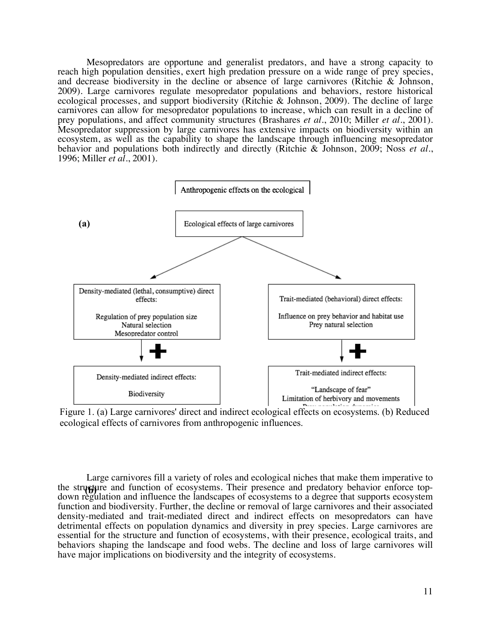Mesopredators are opportune and generalist predators, and have a strong capacity to reach high population densities, exert high predation pressure on a wide range of prey species, and decrease biodiversity in the decline or absence of large carnivores (Ritchie & Johnson, 2009). Large carnivores regulate mesopredator populations and behaviors, restore historical ecological processes, and support biodiversity (Ritchie & Johnson, 2009). The decline of large carnivores can allow for mesopredator populations to increase, which can result in a decline of prey populations, and affect community structures (Brashares *et al.*, 2010; Miller *et al.*, 2001). Mesopredator suppression by large carnivores has extensive impacts on biodiversity within an ecosystem, as well as the capability to shape the landscape through influencing mesopredator behavior and populations both indirectly and directly (Ritchie & Johnson, 2009; Noss *et al.*, 1996; Miller *et al.*, 2001).



Figure 1. (a) Large carnivores' direct and indirect ecological effects on ecosystems. (b) Reduced ecological effects of carnivores from anthropogenic influences.

Large carnivores fill a variety of roles and ecological niches that make them imperative to the structure and function of ecosystems. Their presence and predatory behavior enforce topdown regulation and influence the landscapes of ecosystems to a degree that supports ecosystem function and biodiversity. Further, the decline or removal of large carnivores and their associated density-mediated and trait-mediated direct and indirect effects on mesopredators can have detrimental effects on population dynamics and diversity in prey species. Large carnivores are essential for the structure and function of ecosystems, with their presence, ecological traits, and behaviors shaping the landscape and food webs. The decline and loss of large carnivores will have major implications on biodiversity and the integrity of ecosystems.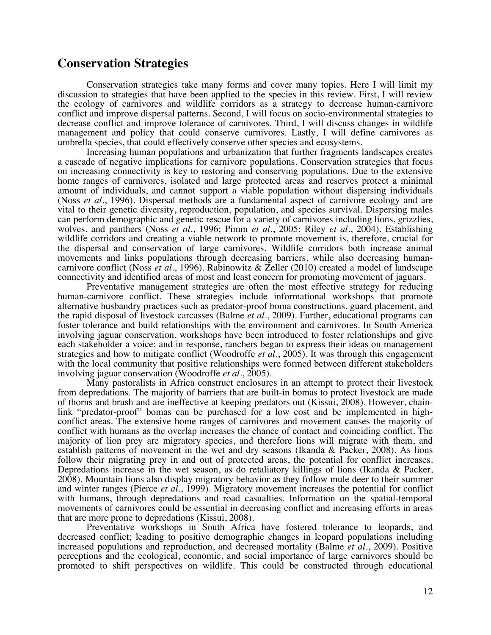## **Conservation Strategies**

Conservation strategies take many forms and cover many topics. Here I will limit my discussion to strategies that have been applied to the species in this review. First, I will review the ecology of carnivores and wildlife corridors as a strategy to decrease human-carnivore conflict and improve dispersal patterns. Second, I will focus on socio-environmental strategies to decrease conflict and improve tolerance of carnivores. Third, I will discuss changes in wildlife management and policy that could conserve carnivores. Lastly, I will define carnivores as umbrella species, that could effectively conserve other species and ecosystems.

Increasing human populations and urbanization that further fragments landscapes creates a cascade of negative implications for carnivore populations. Conservation strategies that focus on increasing connectivity is key to restoring and conserving populations. Due to the extensive home ranges of carnivores, isolated and large protected areas and reserves protect a minimal amount of individuals, and cannot support a viable population without dispersing individuals (Noss *et al.*, 1996). Dispersal methods are a fundamental aspect of carnivore ecology and are vital to their genetic diversity, reproduction, population, and species survival. Dispersing males can perform demographic and genetic rescue for a variety of carnivores including lions, grizzlies, wolves, and panthers (Noss *et al.*, 1996; Pimm *et al.*, 2005; Riley *et al.*, 2004). Establishing wildlife corridors and creating a viable network to promote movement is, therefore, crucial for the dispersal and conservation of large carnivores. Wildlife corridors both increase animal movements and links populations through decreasing barriers, while also decreasing human-<br>carnivore conflict (Noss *et al.*, 1996). Rabinowitz & Zeller (2010) created a model of landscape<br>connectivity and identified areas

Preventative management strategies are often the most effective strategy for reducing human-carnivore conflict. These strategies include informational workshops that promote alternative husbandry practices such as predator-proof boma constructions, guard placement, and the rapid disposal of livestock carcasses (Balme *et al.*, 2009). Further, educational programs can foster tolerance and build relationships with the environment and carnivores. In South America involving jaguar conservation, workshops have been introduced to foster relationships and give each stakeholder a voice; and in response, ranchers began to express their ideas on management strategies and how to mitigate conflict (Woodroffe *et al.*, 2005). It was through this engagement with the local community that positive relationships were formed between different stakeholders involving jaguar conservation (Woodroffe *et al.*, 2005).

Many pastoralists in Africa construct enclosures in an attempt to protect their livestock from depredations. The majority of barriers that are built-in bomas to protect livestock are made of thorns and brush and are ineffective at keeping predators out (Kissui, 2008). However, chain-<br>link "predator-proof" bomas can be purchased for a low cost and be implemented in high-<br>conflict areas. The extensive home ra conflict with humans as the overlap increases the chance of contact and coinciding conflict. The majority of lion prey are migratory species, and therefore lions will migrate with them, and establish patterns of movement in the wet and dry seasons (Ikanda & Packer, 2008). As lions follow their migrating prey in and out of protected areas, the potential for conflict increases. Depredations increase in the wet season, as do retaliatory killings of lions (Ikanda & Packer, 2008). Mountain lions also display migratory behavior as they follow mule deer to their summer and winter ranges (Pierce *et al.*, 1999). Migratory movement increases the potential for conflict with humans, through depredations and road casualties. Information on the spatial-temporal movements of carnivores could be essential in decreasing conflict and increasing efforts in areas that are more prone to depredations (Kissui, 2008).

Preventative workshops in South Africa have fostered tolerance to leopards, and decreased conflict; leading to positive demographic changes in leopard populations including increased populations and reproduction, and decreased mortality (Balme *et al.*, 2009). Positive perceptions and the ecological, economic, and social importance of large carnivores should be promoted to shift perspectives on wildlife. This could be constructed through educational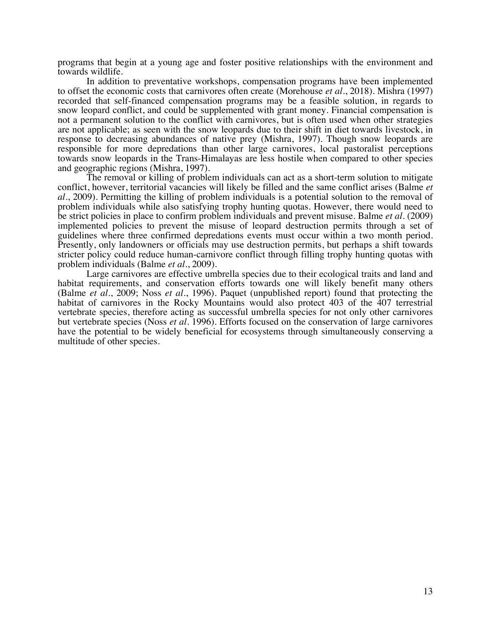programs that begin at a young age and foster positive relationships with the environment and towards wildlife.

In addition to preventative workshops, compensation programs have been implemented to offset the economic costs that carnivores often create (Morehouse *et al.*, 2018). Mishra (1997) recorded that self-financed compensation programs may be a feasible solution, in regards to snow leopard conflict, and could be supplemented with grant money. Financial compensation is not a permanent solution to the conflict with carnivores, but is often used when other strategies are not applicable; as seen with the snow leopards due to their shift in diet towards livestock, in response to decreasing abundances of native prey (Mishra, 1997). Though snow leopards are responsible for more depredations than other large carnivores, local pastoralist perceptions towards snow leopards in the Trans-Himalayas are less hostile when compared to other species and geographic regions (Mishra, 1997).

The removal or killing of problem individuals can act as a short-term solution to mitigate conflict, however, territorial vacancies will likely be filled and the same conflict arises (Balme *et al.*, 2009). Permitting the killing of problem individuals is a potential solution to the removal of problem individuals while also satisfying trophy hunting quotas. However, there would need to be strict policies in place to confirm problem individuals and prevent misuse. Balme *et al.* (2009) implemented policies to prevent the misuse of leopard destruction permits through a set of guidelines where three confirmed depredations events must occur within a two month period. Presently, only landowners or officials may use destruction permits, but perhaps a shift towards stricter policy could reduce human-carnivore conflict through filling trophy hunting quotas with problem individuals (Balme *et al.*, 2009).

Large carnivores are effective umbrella species due to their ecological traits and land and habitat requirements, and conservation efforts towards one will likely benefit many others (Balme *et al.*, 2009; Noss *et al.*, 1996). Paquet (unpublished report) found that protecting the habitat of carnivores in the Rocky Mountains would also protect 403 of the 407 terrestrial vertebrate species, therefore acting as successful umbrella species for not only other carnivores but vertebrate species (Noss *et al.* 1996). Efforts focused on the conservation of large carnivores have the potential to be widely beneficial for ecosystems through simultaneously conserving a multitude of other species.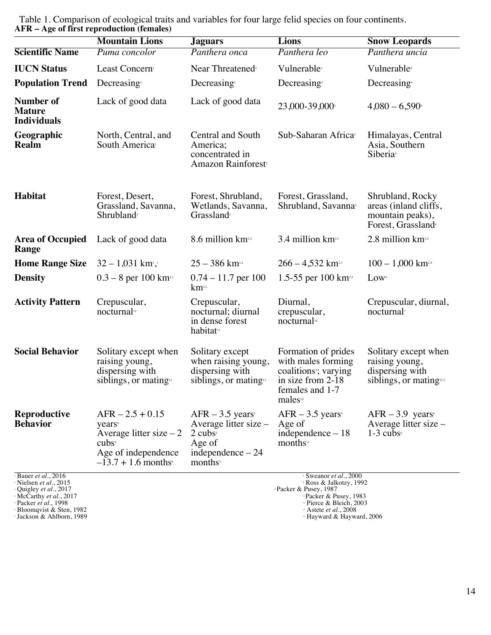|                                                                                                     | <b>Mountain Lions</b>                                                                                                                 | <b>Jaguars</b>                                                                                                                          | <b>Lions</b>                                                                                                                                  | <b>Snow Leopards</b>                                                                                |
|-----------------------------------------------------------------------------------------------------|---------------------------------------------------------------------------------------------------------------------------------------|-----------------------------------------------------------------------------------------------------------------------------------------|-----------------------------------------------------------------------------------------------------------------------------------------------|-----------------------------------------------------------------------------------------------------|
| <b>Scientific Name</b>                                                                              | Puma concolor                                                                                                                         | Panthera onca                                                                                                                           | Panthera leo                                                                                                                                  | Panthera uncia                                                                                      |
| <b>IUCN Status</b>                                                                                  | Least Concern                                                                                                                         | Near Threatened <sup>2</sup>                                                                                                            | Vulnerable <sup>3</sup>                                                                                                                       | Vulnerable <sup>4</sup>                                                                             |
| <b>Population Trend</b>                                                                             | Decreasing                                                                                                                            | Decreasing $2$                                                                                                                          | Decreasing <sup>3</sup>                                                                                                                       | Decreasing <sup>4</sup>                                                                             |
| <b>Number of</b><br><b>Mature</b><br><b>Individuals</b>                                             | Lack of good data                                                                                                                     | Lack of good data                                                                                                                       | 23,000-39,000                                                                                                                                 | $4,080 - 6,590$                                                                                     |
| Geographic<br><b>Realm</b>                                                                          | North, Central, and<br>South America <sup>1</sup>                                                                                     | Central and South<br>America;<br>concentrated in<br>Amazon Rainforest <sup>2</sup>                                                      | Sub-Saharan Africa <sup>3</sup>                                                                                                               | Himalayas, Central<br>Asia, Southern<br>Siberia <sup>4</sup>                                        |
| Habitat                                                                                             | Forest, Desert,<br>Grassland, Savanna,<br>Shrubland <sup>1</sup>                                                                      | Forest, Shrubland,<br>Wetlands, Savanna,<br>Grassland <sup>2</sup>                                                                      | Forest, Grassland,<br>Shrubland, Savanna <sup>3</sup>                                                                                         | Shrubland, Rocky<br>areas (inland cliffs,<br>mountain peaks),<br>Forest, Grassland <sup>4</sup>     |
| <b>Area of Occupied</b><br>Range                                                                    | Lack of good data                                                                                                                     | 8.6 million km <sup>22</sup>                                                                                                            | 3.4 million km <sup>23</sup>                                                                                                                  | 2.8 million km <sup>2,4</sup>                                                                       |
| <b>Home Range Size</b>                                                                              | $32 - 1,031$ km <sup>2</sup> , <sup>1</sup>                                                                                           | $25 - 386$ km <sup>22</sup>                                                                                                             | $266 - 4,532$ km <sup>23</sup>                                                                                                                | $100 - 1,000$ km <sup>2,4</sup>                                                                     |
| <b>Density</b>                                                                                      | $0.3 - 8$ per 100 km <sup>2,1</sup>                                                                                                   | $0.74 - 11.7$ per 100<br>$km$ <sup>2,2</sup>                                                                                            | 1.5-55 per 100 $km$ <sup>2,3</sup>                                                                                                            | Low <sup>4</sup>                                                                                    |
| <b>Activity Pattern</b>                                                                             | Crepuscular,<br>nocturnal <sup>12</sup>                                                                                               | Crepuscular,<br>nocturnal; diurnal<br>in dense forest<br>habitat <sup>13</sup>                                                          | Diurnal,<br>crepuscular,<br>nocturnal <sup>14</sup>                                                                                           | Crepuscular, diurnal,<br>nocturnal <sup>7</sup>                                                     |
| <b>Social Behavior</b>                                                                              | Solitary except when<br>raising young,<br>dispersing with<br>siblings, or mating <sup>12</sup>                                        | Solitary except<br>when raising young,<br>dispersing with<br>siblings, or mating <sup>12</sup>                                          | Formation of prides<br>with males forming<br>coalitions <sup>3</sup> ; varying<br>in size from 2-18<br>females and 1-7<br>males <sup>10</sup> | Solitary except when<br>raising young,<br>dispersing with<br>siblings, or mating $12.7$             |
| <b>Reproductive</b><br><b>Behavior</b>                                                              | $AFR - 2.5 + 0.15$<br>years<br>Average litter size $-2$<br>$cubs^{\circ}$<br>Age of independence<br>$-13.7 + 1.6$ months <sup>*</sup> | $AFR - 3.5$ years <sup>2</sup><br>Average litter size –<br>$2$ cubs <sup>2</sup><br>Age of<br>independence $-24$<br>months <sup>2</sup> | $AFR - 3.5$ years <sup>s</sup><br>Age of<br>independence - 18<br>months <sup>11</sup>                                                         | $AFR - 3.9$ years <sup>6</sup><br>Average litter size –<br>$1-3$ cubs <sup><math>\circ</math></sup> |
| Bauer et al., 2016<br>Nielsen et al., 2015<br>Quigley et al., 2017<br>McCarthy <i>et al.</i> , 2017 |                                                                                                                                       |                                                                                                                                         | Sweanor et al., 2000<br>· Ross & Jalkotzy, 1992<br>"Packer & Pusey, 1987<br>"Packer & Pusey, 1983                                             |                                                                                                     |

 Table 1. Comparison of ecological traits and variables for four large felid species on four continents. **AFR – Age of first reproduction (females)**

Bloomqvist & Sten, 1982 **13 Astete** *et al.*, 2008

**Packer** *et al.***, 1998** 2003 **12 Packer** *et al.*, 1998

Pracket & Pusey, 1983<br>
Pierce & Bleich, 2003<br>
Pastete *et al.*, 2008<br>
Hayward & Hayward, 2006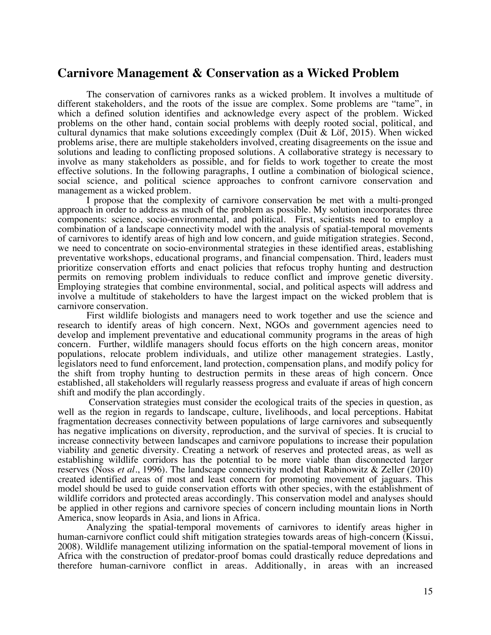## **Carnivore Management & Conservation as a Wicked Problem**

The conservation of carnivores ranks as a wicked problem. It involves a multitude of different stakeholders, and the roots of the issue are complex. Some problems are "tame", in which a defined solution identifies and acknowledge every aspect of the problem. Wicked problems on the other hand, contain social problems with deeply rooted social, political, and cultural dynamics that make solutions exceedingly complex (Duit & Löf, 2015). When wicked problems arise, there are multiple stakeholders involved, creating disagreements on the issue and solutions and leading to conflicting proposed solutions. A collaborative strategy is necessary to involve as many stakeholders as possible, and for fields to work together to create the most effective solutions. In the following paragraphs, I outline a combination of biological science, social science, and political science approaches to confront carnivore conservation and management as a wicked problem.

I propose that the complexity of carnivore conservation be met with a multi-pronged approach in order to address as much of the problem as possible. My solution incorporates three components: science, socio-environmental, and political. First, scientists need to employ a combination of a landscape connectivity model with the analysis of spatial-temporal movements of carnivores to identify areas of high and low concern, and guide mitigation strategies. Second, we need to concentrate on socio-environmental strategies in these identified areas, establishing preventative workshops, educational programs, and financial compensation. Third, leaders must prioritize conservation efforts and enact policies that refocus trophy hunting and destruction permits on removing problem individuals to reduce conflict and improve genetic diversity. Employing strategies that combine environmental, social, and political aspects will address and involve a multitude of stakeholders to have the largest impact on the wicked problem that is carnivore conservation.

First wildlife biologists and managers need to work together and use the science and research to identify areas of high concern. Next, NGOs and government agencies need to develop and implement preventative and educational community programs in the areas of high concern. Further, wildlife managers should focus efforts on the high concern areas, monitor populations, relocate problem individuals, and utilize other management strategies. Lastly, legislators need to fund enforcement, land protection, compensation plans, and modify policy for the shift from trophy hunting to destruction permits in these areas of high concern. Once established, all stakeholders will regularly reassess progress and evaluate if areas of high concern shift and modify the plan accordingly.

Conservation strategies must consider the ecological traits of the species in question, as well as the region in regards to landscape, culture, livelihoods, and local perceptions. Habitat fragmentation decreases connectivity between populations of large carnivores and subsequently has negative implications on diversity, reproduction, and the survival of species. It is crucial to increase connectivity between landscapes and carnivore populations to increase their population viability and genetic diversity. Creating a network of reserves and protected areas, as well as establishing wildlife corridors has the potential to be more viable than disconnected larger reserves (Noss *et al.*, 1996). The landscape connectivity model that Rabinowitz & Zeller (2010) created identified areas of most and least concern for promoting movement of jaguars. This model should be used to guide conservation efforts with other species, with the establishment of wildlife corridors and protected areas accordingly. This conservation model and analyses should be applied in other regions and carnivore species of concern including mountain lions in North America, snow leopards in Asia, and lions in Africa.

Analyzing the spatial-temporal movements of carnivores to identify areas higher in human-carnivore conflict could shift mitigation strategies towards areas of high-concern (Kissui, 2008). Wildlife management utilizing information on the spatial-temporal movement of lions in Africa with the construction of predator-proof bomas could drastically reduce depredations and therefore human-carnivore conflict in areas. Additionally, in areas with an increased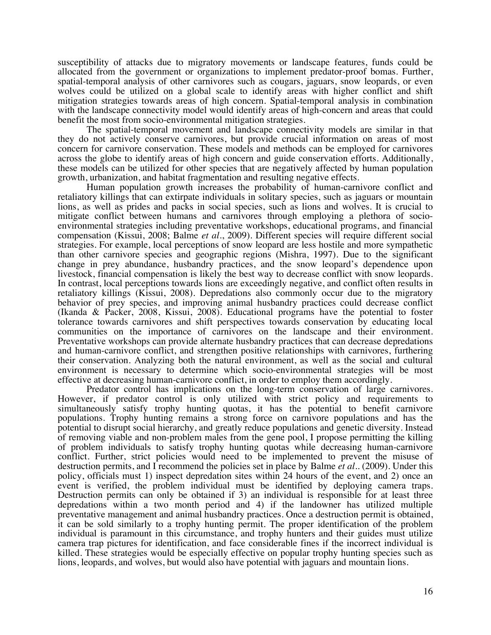susceptibility of attacks due to migratory movements or landscape features, funds could be allocated from the government or organizations to implement predator-proof bomas. Further, spatial-temporal analysis of other carnivores such as cougars, jaguars, snow leopards, or even wolves could be utilized on a global scale to identify areas with higher conflict and shift mitigation strategies towards areas of high concern. Spatial-temporal analysis in combination with the landscape connectivity model would identify areas of high-concern and areas that could benefit the most from socio-environmental mitigation strategies.

The spatial-temporal movement and landscape connectivity models are similar in that they do not actively conserve carnivores, but provide crucial information on areas of most concern for carnivore conservation. These models and methods can be employed for carnivores across the globe to identify areas of high concern and guide conservation efforts. Additionally, these models can be utilized for other species that are negatively affected by human population growth, urbanization, and habitat fragmentation and resulting negative effects.

Human population growth increases the probability of human-carnivore conflict and retaliatory killings that can extirpate individuals in solitary species, such as jaguars or mountain lions, as well as prides and packs in social species, such as lions and wolves. It is crucial to mitigate conflict between humans and carnivores through employing a plethora of socioenvironmental strategies including preventative workshops, educational programs, and financial compensation (Kissui, 2008; Balme *et al.*, 2009). Different species will require different social strategies. For example, local perceptions of snow leopard are less hostile and more sympathetic than other carnivore species and geographic regions (Mishra, 1997). Due to the significant change in prey abundance, husbandry practices, and the snow leopard's dependence upon livestock, financial compensation is likely the best way to decrease conflict with snow leopards. In contrast, local perceptions towards lions are exceedingly negative, and conflict often results in retaliatory killings (Kissui, 2008). Depredations also commonly occur due to the migratory behavior of prey species, and improving animal husbandry practices could decrease conflict (Ikanda & Packer, 2008, Kissui, 2008). Educational programs have the potential to foster tolerance towards carnivores and shift perspectives towards conservation by educating local communities on the importance of carnivores on the landscape and their environment. Preventative workshops can provide alternate husbandry practices that can decrease depredations and human-carnivore conflict, and strengthen positive relationships with carnivores, furthering their conservation. Analyzing both the natural environment, as well as the social and cultural environment is necessary to determine which socio-environmental strategies will be most effective at decreasing human-carnivore conflict, in order to employ them accordingly.

Predator control has implications on the long-term conservation of large carnivores. However, if predator control is only utilized with strict policy and requirements to simultaneously satisfy trophy hunting quotas, it has the potential to benefit carnivore populations. Trophy hunting remains a strong force on carnivore populations and has the potential to disrupt social hierarchy, and greatly reduce populations and genetic diversity. Instead of removing viable and non-problem males from the gene pool, I propose permitting the killing of problem individuals to satisfy trophy hunting quotas while decreasing human-carnivore conflict. Further, strict policies would need to be implemented to prevent the misuse of destruction permits, and I recommend the policies set in place by Balme *et al..* (2009). Under this policy, officials must 1) inspect depredation sites within 24 hours of the event, and 2) once an event is verified, the problem individual must be identified by deploying camera traps. Destruction permits can only be obtained if 3) an individual is responsible for at least three depredations within a two month period and 4) if the landowner has utilized multiple preventative management and animal husbandry practices. Once a destruction permit is obtained, it can be sold similarly to a trophy hunting permit. The proper identification of the problem individual is paramount in this circumstance, and trophy hunters and their guides must utilize camera trap pictures for identification, and face considerable fines if the incorrect individual is killed. These strategies would be especially effective on popular trophy hunting species such as lions, leopards, and wolves, but would also have potential with jaguars and mountain lions.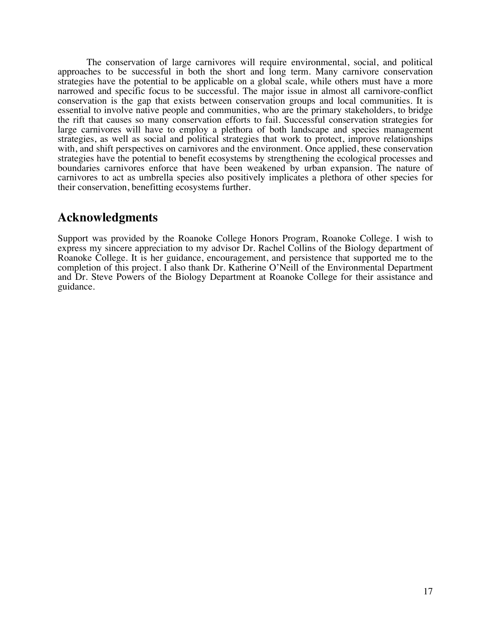The conservation of large carnivores will require environmental, social, and political approaches to be successful in both the short and long term. Many carnivore conservation strategies have the potential to be applicable on a global scale, while others must have a more narrowed and specific focus to be successful. The major issue in almost all carnivore-conflict conservation is the gap that exists between conservation groups and local communities. It is essential to involve native people and communities, who are the primary stakeholders, to bridge the rift that causes so many conservation efforts to fail. Successful conservation strategies for large carnivores will have to employ a plethora of both landscape and species management strategies, as well as social and political strategies that work to protect, improve relationships with, and shift perspectives on carnivores and the environment. Once applied, these conservation strategies have the potential to benefit ecosystems by strengthening the ecological processes and boundaries carnivores enforce that have been weakened by urban expansion. The nature of carnivores to act as umbrella species also positively implicates a plethora of other species for their conservation, benefitting ecosystems further.

# **Acknowledgments**

Support was provided by the Roanoke College Honors Program, Roanoke College. I wish to express my sincere appreciation to my advisor Dr. Rachel Collins of the Biology department of Roanoke College. It is her guidance, encouragement, and persistence that supported me to the completion of this project. I also thank Dr. Katherine O'Neill of the Environmental Department and Dr. Steve Powers of the Biology Department at Roanoke College for their assistance and guidance.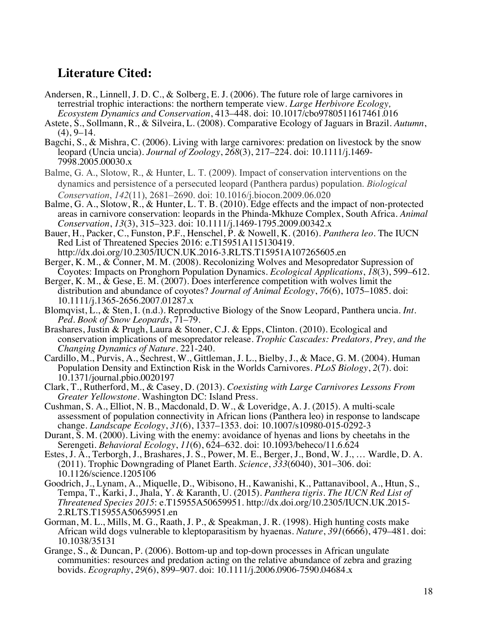# **Literature Cited:**

- Andersen, R., Linnell, J. D. C., & Solberg, E. J. (2006). The future role of large carnivores in terrestrial trophic interactions: the northern temperate view. *Large Herbivore Ecology, Ecosystem Dynamics and Conservation*, 413–448. doi: 10.1017/cbo9780511617461.016
- Astete, S., Sollmann, R., & Silveira, L. (2008). Comparative Ecology of Jaguars in Brazil. *Autumn*, (4), 9–14.
- Bagchi, S., & Mishra, C. (2006). Living with large carnivores: predation on livestock by the snow leopard (Uncia uncia). *Journal of Zoology*, *<sup>268</sup>*(3), 217–224. doi: 10.1111/j.1469- 7998.2005.00030.x
- Balme, G. A., Slotow, R., & Hunter, L. T. (2009). Impact of conservation interventions on the dynamics and persistence of a persecuted leopard (Panthera pardus) population. *Biological Conservation*, *142*(11), 2681–2690. doi: 10.1016/j.biocon.2009.06.020
- Balme, G. A., Slotow, R., & Hunter, L. T. B. (2010). Edge effects and the impact of non-protected areas in carnivore conservation: leopards in the Phinda-Mkhuze Complex, South Africa. *Animal Conservation*, *13*(3), 315–323. doi: 10.1111/j.1469-1795.2009.00342.x
- Bauer, H., Packer, C., Funston, P.F., Henschel, P. & Nowell, K. (2016). *Panthera leo.* The IUCN Red List of Threatened Species 2016: e.T15951A115130419. http://dx.doi.org/10.2305/IUCN.UK.2016-3.RLTS.T15951A107265605.en
- Berger, K. M., & Conner, M. M. (2008). Recolonizing Wolves and Mesopredator Supression of Coyotes: Impacts on Pronghorn Population Dynamics. *Ecological Applications*, *18*(3), 599–612.
- Berger, K. M., & Gese, E. M. (2007). Does interference competition with wolves limit the distribution and abundance of coyotes? *Journal of Animal Ecology*, *76*(6), 1075–1085. doi: 10.1111/j.1365-2656.2007.01287.x
- Blomqvist, L., & Sten, I. (n.d.). Reproductive Biology of the Snow Leopard, Panthera uncia. *Int. Ped. Book of Snow Leopards*, 71–79.
- Brashares, Justin & Prugh, Laura & Stoner, C.J. & Epps, Clinton. (2010). Ecological and conservation implications of mesopredator release. *Trophic Cascades: Predators, Prey, and the Changing Dynamics of Nature*. 221-240.
- Cardillo, M., Purvis, A., Sechrest, W., Gittleman, J. L., Bielby, J., & Mace, G. M. (2004). Human Population Density and Extinction Risk in the Worlds Carnivores. *PLoS Biology*, *2*(7). doi: 10.1371/journal.pbio.0020197
- Clark, T., Rutherford, M., & Casey, D. (2013). *Coexisting with Large Carnivores Lessons From Greater Yellowstone*. Washington DC: Island Press.
- Cushman, S. A., Elliot, N. B., Macdonald, D. W., & Loveridge, A. J. (2015). A multi-scale assessment of population connectivity in African lions (Panthera leo) in response to landscape change. *Landscape Ecology*, *31*(6), 1337–1353. doi: 10.1007/s10980-015-0292-3
- Durant, S. M. (2000). Living with the enemy: avoidance of hyenas and lions by cheetahs in the Serengeti. *Behavioral Ecology*, *11*(6), 624–632. doi: 10.1093/beheco/11.6.624
- Estes, J. A., Terborgh, J., Brashares, J. S., Power, M. E., Berger, J., Bond, W. J., … Wardle, D. A. (2011). Trophic Downgrading of Planet Earth. *Science*, *333*(6040), 301–306. doi: 10.1126/science.1205106
- Goodrich, J., Lynam, A., Miquelle, D., Wibisono, H., Kawanishi, K., Pattanavibool, A., Htun, S., Tempa, T., Karki, J., Jhala, Y. & Karanth, U. (2015). *Panthera tigris. The IUCN Red List of Threatened Species 2015*: e.T15955A50659951. http://dx.doi.org/10.2305/IUCN.UK.2015- 2.RLTS.T15955A50659951.en
- Gorman, M. L., Mills, M. G., Raath, J. P., & Speakman, J. R. (1998). High hunting costs make African wild dogs vulnerable to kleptoparasitism by hyaenas. *Nature*, *391*(6666), 479–481. doi: 10.1038/35131
- Grange, S., & Duncan, P. (2006). Bottom-up and top-down processes in African ungulate communities: resources and predation acting on the relative abundance of zebra and grazing bovids. *Ecography*, *29*(6), 899–907. doi: 10.1111/j.2006.0906-7590.04684.x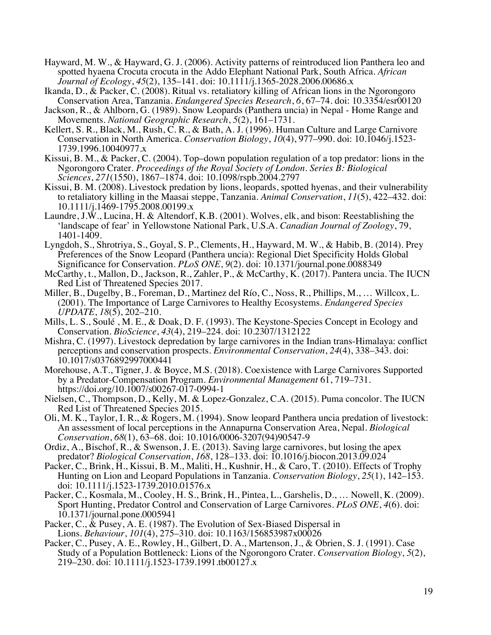- Hayward, M. W., & Hayward, G. J. (2006). Activity patterns of reintroduced lion Panthera leo and spotted hyaena Crocuta crocuta in the Addo Elephant National Park, South Africa. *African Journal of Ecology*, *45*(2), 135–141. doi: 10.1111/j.1365-2028.2006.00686.x
- Ikanda, D., & Packer, C. (2008). Ritual vs. retaliatory killing of African lions in the Ngorongoro Conservation Area, Tanzania. *Endangered Species Research*, *6*, 67–74. doi: 10.3354/esr00120
- Jackson, R., & Ahlborn, G. (1989). Snow Leopards (Panthera uncia) in Nepal Home Range and Movements. *National Geographic Research*, *5*(2), 161–1731.
- Kellert, S. R., Black, M., Rush, C. R., & Bath, A. J. (1996). Human Culture and Large Carnivore Conservation in North America. *Conservation Biology*, *10*(4), 977–990. doi: 10.1046/j.1523- 1739.1996.10040977.x
- Kissui, B. M., & Packer, C. (2004). Top–down population regulation of a top predator: lions in the Ngorongoro Crater. *Proceedings of the Royal Society of London. Series B: Biological Sciences*, *271*(1550), 1867–1874. doi: 10.1098/rspb.2004.2797
- Kissui, B. M. (2008). Livestock predation by lions, leopards, spotted hyenas, and their vulnerability to retaliatory killing in the Maasai steppe, Tanzania. *Animal Conservation*, *11*(5), 422–432. doi: 10.1111/j.1469-1795.2008.00199.x
- Laundre, J.W., Lucina, H. & Altendorf, K.B. (2001). Wolves, elk, and bison: Reestablishing the 'landscape of fear' in Yellowstone National Park, U.S.A. *Canadian Journal of Zoology*, 79, 1401-1409.
- Lyngdoh, S., Shrotriya, S., Goyal, S. P., Clements, H., Hayward, M. W., & Habib, B. (2014). Prey Preferences of the Snow Leopard (Panthera uncia): Regional Diet Specificity Holds Global Significance for Conservation. *PLoS ONE*, *9*(2). doi: 10.1371/journal.pone.0088349
- McCarthy, t., Mallon, D., Jackson, R., Zahler, P., & McCarthy, K. (2017). Pantera uncia. The IUCN Red List of Threatened Species 2017.
- Miller, B., Dugelby, B., Foreman, D., Martinez del Río, C., Noss, R., Phillips, M., … Willcox, L. (2001). The Importance of Large Carnivores to Healthy Ecosystems. *Endangered Species UPDATE*, *18*(5), 202–210.
- Mills, L. S., Soulé , M. E., & Doak, D. F. (1993). The Keystone-Species Concept in Ecology and Conservation. *BioScience*, *43*(4), 219–224. doi: 10.2307/1312122
- Mishra, C. (1997). Livestock depredation by large carnivores in the Indian trans-Himalaya: conflict perceptions and conservation prospects. *Environmental Conservation*, *24*(4), 338–343. doi: 10.1017/s0376892997000441
- Morehouse, A.T., Tigner, J. & Boyce, M.S. (2018). Coexistence with Large Carnivores Supported by a Predator-Compensation Program. *Environmental Management* 61, 719–731. https://doi.org/10.1007/s00267-017-0994-1
- Nielsen, C., Thompson, D., Kelly, M. & Lopez-Gonzalez, C.A. (2015). Puma concolor. The IUCN Red List of Threatened Species 2015.
- Oli, M. K., Taylor, I. R., & Rogers, M. (1994). Snow leopard Panthera uncia predation of livestock: An assessment of local perceptions in the Annapurna Conservation Area, Nepal. *Biological Conservation*, *68*(1), 63–68. doi: 10.1016/0006-3207(94)90547-9
- Ordiz, A., Bischof, R., & Swenson, J. E. (2013). Saving large carnivores, but losing the apex predator? *Biological Conservation*, *168*, 128–133. doi: 10.1016/j.biocon.2013.09.024
- Packer, C., Brink, H., Kissui, B. M., Maliti, H., Kushnir, H., & Caro, T. (2010). Effects of Trophy Hunting on Lion and Leopard Populations in Tanzania. *Conservation Biology*, *25*(1), 142–153. doi: 10.1111/j.1523-1739.2010.01576.x
- Packer, C., Kosmala, M., Cooley, H. S., Brink, H., Pintea, L., Garshelis, D., … Nowell, K. (2009). Sport Hunting, Predator Control and Conservation of Large Carnivores. *PLoS ONE*, *4*(6). doi: 10.1371/journal.pone.0005941
- Packer, C., & Pusey, A. E. (1987). The Evolution of Sex-Biased Dispersal in Lions. *Behaviour*, *101*(4), 275–310. doi: 10.1163/156853987x00026
- Packer, C., Pusey, A. E., Rowley, H., Gilbert, D. A., Martenson, J., & Obrien, S. J. (1991). Case Study of a Population Bottleneck: Lions of the Ngorongoro Crater. *Conservation Biology*, *5*(2), 219–230. doi: 10.1111/j.1523-1739.1991.tb00127.x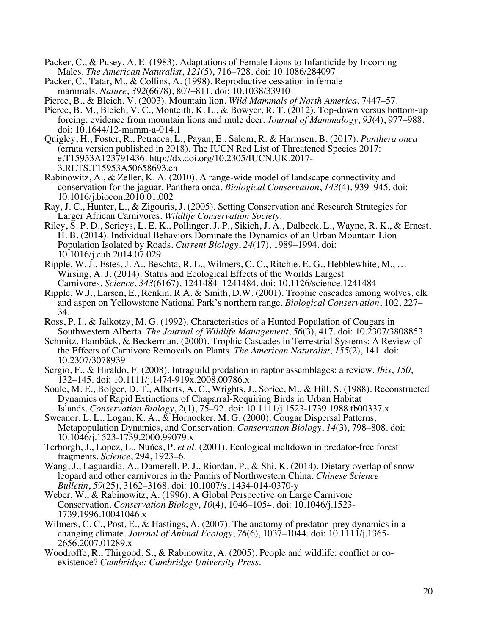- Packer, C., & Pusey, A. E. (1983). Adaptations of Female Lions to Infanticide by Incoming Males. *The American Naturalist*, *121*(5), 716–728. doi: 10.1086/284097
- Packer, C., Tatar, M., & Collins, A. (1998). Reproductive cessation in female mammals. *Nature*, *392*(6678), 807–811. doi: 10.1038/33910

Pierce, B., & Bleich, V. (2003). Mountain lion. *Wild Mammals of North America*, 7447–57.

- Pierce, B. M., Bleich, V. C., Monteith, K. L., & Bowyer, R. T. (2012). Top-down versus bottom-up forcing: evidence from mountain lions and mule deer. *Journal of Mammalogy*, *93*(4), 977–988. doi: 10.1644/12-mamm-a-014.1
- Quigley, H., Foster, R., Petracca, L., Payan, E., Salom, R. & Harmsen, B. (2017). *Panthera onca*  (errata version published in 2018). The IUCN Red List of Threatened Species 2017: e.T15953A123791436. http://dx.doi.org/10.2305/IUCN.UK.2017- 3.RLTS.T15953A50658693.en
- Rabinowitz, A., & Zeller, K. A. (2010). A range-wide model of landscape connectivity and conservation for the jaguar, Panthera onca. *Biological Conservation*, *143*(4), 939–945. doi: 10.1016/j.biocon.2010.01.002
- Ray, J. C., Hunter, L., & Zigouris, J. (2005). Setting Conservation and Research Strategies for
- Riley, S. P. D., Serieys, L. E. K., Pollinger, J. P., Sikich, J. A., Dalbeck, L., Wayne, R. K., & Ernest, H. B. (2014). Individual Behaviors Dominate the Dynamics of an Urban Mountain Lion Population Isolated by Roads. *Current Biology*, *24*(17), 1989–1994. doi: 10.1016/j.cub.2014.07.029
- Ripple, W. J., Estes, J. A., Beschta, R. L., Wilmers, C. C., Ritchie, E. G., Hebblewhite, M., … Wirsing, A. J. (2014). Status and Ecological Effects of the Worlds Largest Carnivores. *Science*, *343*(6167), 1241484–1241484. doi: 10.1126/science.1241484
- Ripple, W.J., Larsen, E., Renkin, R.A. & Smith, D.W. (2001). Trophic cascades among wolves, elk and aspen on Yellowstone National Park's northern range. *Biological Conservation*, 102, 227– 34.
- Ross, P. I., & Jalkotzy, M. G. (1992). Characteristics of a Hunted Population of Cougars in Southwestern Alberta. *The Journal of Wildlife Management*, *56*(3), 417. doi: 10.2307/3808853
- Schmitz, Hambäck, & Beckerman. (2000). Trophic Cascades in Terrestrial Systems: A Review of the Effects of Carnivore Removals on Plants. *The American Naturalist*, *155*(2), 141. doi: 10.2307/3078939
- Sergio, F., & Hiraldo, F. (2008). Intraguild predation in raptor assemblages: a review. *Ibis*, *150*,  $132-145.$  doi: 10.1111/j.1474-919x.2008.00786.x
- Soule, M. E., Bolger, D. T., Alberts, A. C., Wrights, J., Sorice, M., & Hill, S. (1988). Reconstructed Dynamics of Rapid Extinctions of Chaparral-Requiring Birds in Urban Habitat Islands. *Conservation Biology*, *2*(1), 75–92. doi: 10.1111/j.1523-1739.1988.tb00337.x
- Sweanor, L. L., Logan, K. A., & Hornocker, M. G. (2000). Cougar Dispersal Patterns, Metapopulation Dynamics, and Conservation. *Conservation Biology*, *14*(3), 798–808. doi: 10.1046/j.1523-1739.2000.99079.x
- Terborgh, J., Lopez, L., Nuñes, P. *et al.* (2001). Ecological meltdown in predator-free forest fragments. *Science*, 294, 1923–6.
- Wang, J., Laguardia, A., Damerell, P. J., Riordan, P., & Shi, K. (2014). Dietary overlap of snow leopard and other carnivores in the Pamirs of Northwestern China. *Chinese Science Bulletin*, *59*(25), 3162–3168. doi: 10.1007/s11434-014-0370-y
- Weber, W., & Rabinowitz, A. (1996). A Global Perspective on Large Carnivore Conservation. *Conservation Biology*, *<sup>10</sup>*(4), 1046–1054. doi: 10.1046/j.1523- 1739.1996.10041046.x
- Wilmers, C. C., Post, E., & Hastings, A. (2007). The anatomy of predator–prey dynamics in a changing climate. *Journal of Animal Ecology*, *<sup>76</sup>*(6), 1037–1044. doi: 10.1111/j.1365- 2656.2007.01289.x
- Woodroffe, R., Thirgood, S., & Rabinowitz, A. (2005). People and wildlife: conflict or coexistence? *Cambridge: Cambridge University Press.*